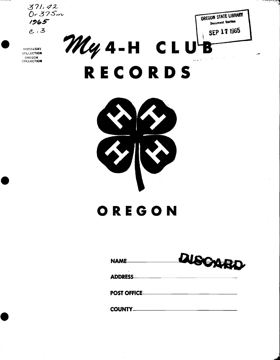$371.42$ <br>Or 375m  $1965$  $e.3$ 

**DOCUMENT** COLLECTION OREGON COLLECTION



OREGON STATE LIBRARY Document Section



# OREGON

| NAME           | MSCARD |  |  |
|----------------|--------|--|--|
| <b>ADDRESS</b> |        |  |  |
|                |        |  |  |
| COUNTY_____    |        |  |  |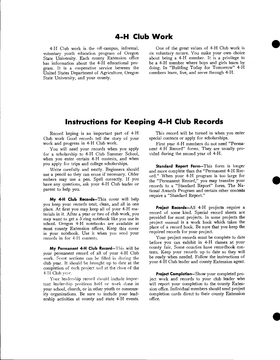## 4-H Club Work

4-H Club work is the off-campus, informal, voluntary youth education program of Oregon State University. Each county Extension office has information about the 4-H educational program. It is a cooperative service between the United States Department of Agriculture, Oregon State University, and your county.

One of the great values of 4-H Club work is its voluntary nature. You make your own choice about being a 4-H member. It is a privilege to be a 4-H member where boys and girls learn by doing. In "Building Today for Tomorrow" 4-H members learn, live, and serve through 4-H.

## Instructions for Keeping 4-H Club Records

Record keping is an important part of 4-H Club work Good records tell the story of your work and progress in 4-H Club work.

You will need your records when you apply for a scholarship to 4-H Club Summer School, when you enter certain 4-H contests, and when you apply for trips and college scholarships.

Write carefully and neatly. Beginners should use a pencil so they can erase if necessary. Older embers may use a pen. Spell correctly. If you have any questions, ask your 4-H Club leader or parent to help you.

My 4-H Club Records-This cover will help you keep your records neat, clean, and all in one place. At first you may keep all of your 4-H materials in it. After a year or two of club work, you may want to get a 3-ring notebook like you use in school. Oregon 4-H notebooks are available at most county Extension offices. Keep this cover in your notebook. Use it when you send your records in for 4-Fl contests.

My Permanent 4-H Club Record-This will be your permanent record of all of your 4-H Club work. Some sections can be filled in during the club year. It should be brought up to date at the completion of each project and at the close of the 4-H Club year.

Your leadership record should include important leadership positions held or work done in your school, church, or in other youth or community organizations. Be sure to include your leadership activities at county and state 4-H events.

This record will be turned in when you enter special contests or apply for scholarships.

First year 4-H members do not need "Permanent 4-H Record" forms. They are usually provided during the second year of 4-H.

Standard Report Form-This form is longer and more complete than the "Permanent 4-H Record." When your 4-H program is too large for the "Permanent Record," you may transfer your records to a "Standard Report" form. The National Awards Program and certain other contests require a "Standard Report."

Project Records-All 4-H projects require a record of some kind. Special record sheets are provided for most projects. In some projects the project manual is a work book which takes the place of a record book. Be sure that you keep the required records for your project.

Your project records must be complete to date before you can exhibit in 4-H classes at your county fair. Some counties have recordbook contests. Keep your records up to date so they will be ready when needed. Follow the instructions of your 4-H Club leader and county Extension agent.

Project Completion-Show your completed project work and records to your club leader who will report your completion to the county Extension office. Individual members should send project completion cards direct to their county Extension office.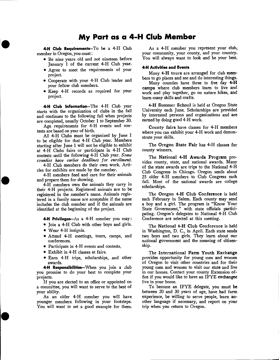## My Part as a 4-H Club Member

4-H Club Requirements-To be a 4-H Club member in Oregon, you must:

- Be nine years old and not nineteen before January 1 of the current 4-H Club year.
- Agree to meet the requirements of your project.
- Cooperate with your 4-H Club leader and your fellow club members.
- Keep 4-H records as required for your project.

4-H Club Information-The 4-H Club year starts with the organization of clubs in the fall and continues to the following fall when projects are completed, usually October 1 to September 30.

Age requirements for 4-H events and contests are based on year of birth.

All 4-H Clubs must be organized by June 1 to be eligible for that 4-H Club year. Members starting after June 1 will not be eligible to exhibit at 4-H Clubs fairs or participate in 4-H Club contests until the following 4-H Club year. Some counties have earlier deadlines for enrollment.

4-H Club members do their own work. Articles for exhibits are made by the member.

4-H members feed and care for their animals and prepare them for showing.

4-H members own the animals they carry in their 4-H projects. Registered animals are to be registered in the member's name. Animals registered in a family name are acceptable if the name includes the club member and if the animals are identified at the beginning of the project.

4-H Privileges- $As$  a 4-H member you may:

- Join a 4-H Club with other boys and girls. Wear 4-H insignia.
- Attend 4-H meetings, tours, camps, and conferences.
- Participate in 4-H events and contests.
- Exhibit in 4-H classes at fairs.
- Earn 4-H trips, scholarships, and other awards.

4-H Responsibilities-When you join a club you promise to do your best to complete your projects.

If you are elected to an office or appointed on a committee, you will want to serve to the best of

your ability. As an older 4-H member you will have younger members following in your footsteps. You will want to set a good example for them.

As a 4-H member you represent your club, your community, your county, and your country. You will always want to look and be your best.

#### 4-H Activities and Events

Many 4-H tours are arranged for club members to go places and see and do interesting things.

Many counties have three to five day 4-H camps where club members learn to live and work and play together, go on nature hikes, and learn many skills and crafts.

4-H Summer School is held at Oregon State University each June. Scholarships are provided by interested persons and organizations and are earned by doing good 4-H work.

County fairs have classes for 4-H members where you can exhibit your 4-H work and demonstrate your skills.

The Oregon State Fair has 4-H classes for county winners.

The National 4-H Awards Program provides county, state, and national awards. Many of the state awards are trips to the National 4-H Club Congress in Chicago. Oregon sends about 25 older 4-H members to Club Congress each fall. Most of the national awards are college scholarships.

The Oregon 4-H Club Conference is held each February in Salem. Each county may send a boy and a girl. The program is "Know Your State Government," with state officials participating. Oregon's delegates to National 4-H Club Conference are selected at this meeting.

The National 4-H Club Conference is held in Washington, D. C., in April. Each state sends two boys and two girls. They learn about our national government and the meaning of citizenship.

The International Farm Youth Exchange provides opportunity for young men and women of Oregon to visit other countries and for their young men and women to visit our state and live in our homes. Contact your county Extension office if you would like to have an IFYE exchangee live in your home.

To become an IFYE delegate, you must be between 20 and 30 years of age, have had farm experience, be willing to serve people, learn another language if necessary, and report on your trip when you return to Oregon.